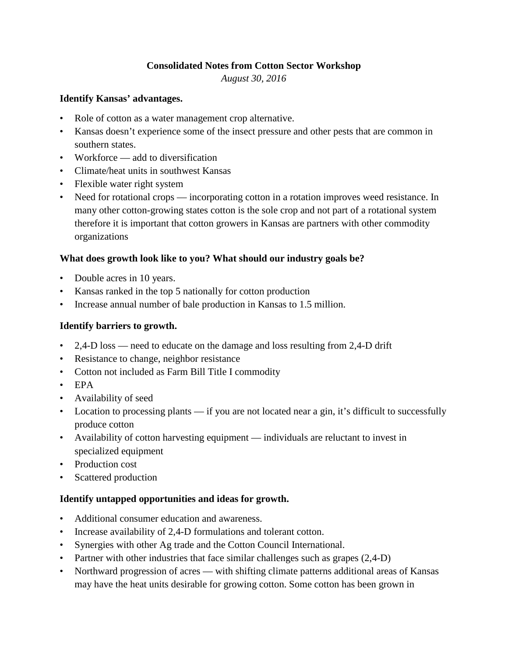### **Consolidated Notes from Cotton Sector Workshop**

*August 30, 2016*

### **Identify Kansas' advantages.**

- Role of cotton as a water management crop alternative.
- Kansas doesn't experience some of the insect pressure and other pests that are common in southern states.
- Workforce add to diversification
- Climate/heat units in southwest Kansas
- Flexible water right system
- Need for rotational crops incorporating cotton in a rotation improves weed resistance. In many other cotton-growing states cotton is the sole crop and not part of a rotational system therefore it is important that cotton growers in Kansas are partners with other commodity organizations

### **What does growth look like to you? What should our industry goals be?**

- Double acres in 10 years.
- Kansas ranked in the top 5 nationally for cotton production
- Increase annual number of bale production in Kansas to 1.5 million.

## **Identify barriers to growth.**

- 2,4-D loss need to educate on the damage and loss resulting from 2,4-D drift
- Resistance to change, neighbor resistance
- Cotton not included as Farm Bill Title I commodity
- EPA
- Availability of seed
- Location to processing plants if you are not located near a gin, it's difficult to successfully produce cotton
- Availability of cotton harvesting equipment individuals are reluctant to invest in specialized equipment
- Production cost
- Scattered production

# **Identify untapped opportunities and ideas for growth.**

- Additional consumer education and awareness.
- Increase availability of 2,4-D formulations and tolerant cotton.
- Synergies with other Ag trade and the Cotton Council International.
- Partner with other industries that face similar challenges such as grapes (2,4-D)
- Northward progression of acres with shifting climate patterns additional areas of Kansas may have the heat units desirable for growing cotton. Some cotton has been grown in